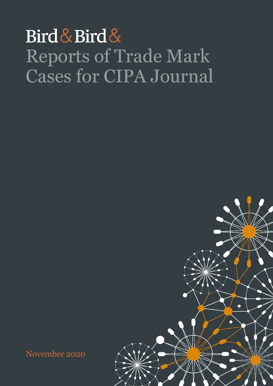## Bird & Bird & Reports of Trade Mark Cases for CIPA Journal

November 2020

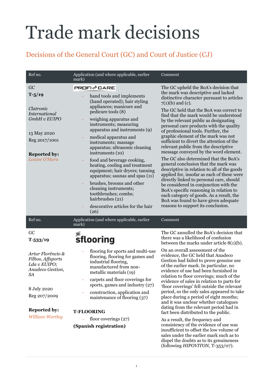## Trade mark decisions

## Decisions of the General Court (GC) and Court of Justice (CJ)

| Ref no.                                                                                                                                                                         | Application (and where applicable, earlier<br>mark)                                                                                                                                                                                                                                                                                                                                                                                                                                                                                                                                                                 | Comment                                                                                                                                                                                                                                                                                                                                                                                                                                                                                                                                                                                                                                                                                                                                                                                                                                                                                                                                                                       |
|---------------------------------------------------------------------------------------------------------------------------------------------------------------------------------|---------------------------------------------------------------------------------------------------------------------------------------------------------------------------------------------------------------------------------------------------------------------------------------------------------------------------------------------------------------------------------------------------------------------------------------------------------------------------------------------------------------------------------------------------------------------------------------------------------------------|-------------------------------------------------------------------------------------------------------------------------------------------------------------------------------------------------------------------------------------------------------------------------------------------------------------------------------------------------------------------------------------------------------------------------------------------------------------------------------------------------------------------------------------------------------------------------------------------------------------------------------------------------------------------------------------------------------------------------------------------------------------------------------------------------------------------------------------------------------------------------------------------------------------------------------------------------------------------------------|
| GC<br>$T - 5/19$<br>Clatronic<br>International<br>GmbH v EUIPO<br>13 May 2020<br>Reg 2017/1001<br><b>Reported by:</b><br>Louise O'Hara                                          | <b>PROFI</b> ⊘CARE<br>hand tools and implements<br>(hand operated); hair styling<br>appliances; manicure and<br>pedicure tools (8)<br>weighing apparatus and<br>instruments; measuring<br>apparatus and instruments (9)<br>medical apparatus and<br>instruments; massage<br>apparatus; ultrasonic cleaning<br>instruments (10)<br>food and beverage cooking,<br>heating, cooling and treatment<br>equipment; hair dryers; tanning<br>apparatus; saunas and spas (11)<br>brushes, brooms and other<br>cleaning instruments;<br>toothbrushes; combs;<br>hairbrushes (21)<br>descorative articles for the hair<br>(26) | The GC upheld the BoA's decision that<br>the mark was descriptive and lacked<br>distinctive character pursuant to articles<br>$7(1)(b)$ and (c).<br>The GC held that the BoA was correct to<br>find that the mark would be understood<br>by the relevant public as designating<br>personal care products with the quality<br>of professional tools. Further, the<br>graphic element of the mark was not<br>sufficient to divert the attention of the<br>relevant public from the descriptive<br>message conveyed by the word element.<br>The GC also determined that the BoA's<br>general conclusion that the mark was<br>descriptive in relation to all of the goods<br>applied for, insofar as each of these were<br>directly linked to personal care, should<br>be considered in conjunction with the<br>BoA's specific reasoning in relation to<br>each category of goods. As a result, the<br>BoA was found to have given adequate<br>reasons to support its conclusion. |
| Ref no.                                                                                                                                                                         | Application (and where applicable, earlier<br>mark)                                                                                                                                                                                                                                                                                                                                                                                                                                                                                                                                                                 | Comment                                                                                                                                                                                                                                                                                                                                                                                                                                                                                                                                                                                                                                                                                                                                                                                                                                                                                                                                                                       |
| GC<br>$T - 533/19$<br>Artur Florêncio &<br>Filhos, Affsports<br>Lda v EUIPO;<br>Anadeco Gestion,<br>SA<br>8 July 2020<br>Reg 207/2009<br><b>Reported by:</b><br>William Wortley | sflooring<br>flooring for sports and multi-use<br>flooring, flooring for games and<br>industrial flooring,<br>manufactured from non-<br>metallic materials (19)<br>carpets and floor coverings for<br>sports, games and industry $(27)$<br>construction, application and<br>maintenance of flooring (37)<br><b>T-FLOORING</b>                                                                                                                                                                                                                                                                                       | The GC annulled the BoA's decision that<br>there was a likelihood of confusion<br>between the marks under article $8(1)(b)$ .<br>On an overall assessment of the<br>evidence, the GC held that Anadeco<br>Gestion had failed to prove genuine use<br>of the earlier mark. In particular, no<br>evidence of use had been furnished in<br>relation to floor coverings; much of the<br>evidence of sales in relation to parts for<br>'floor coverings' fell outside the relevant<br>period, so the only sales appeared to take<br>place during a period of eight months;<br>and it was unclear whether catalogues<br>dating from the relevant period had in<br>fact been distributed to the public.                                                                                                                                                                                                                                                                              |
|                                                                                                                                                                                 | floor coverings $(27)$<br>(Spanish registration)                                                                                                                                                                                                                                                                                                                                                                                                                                                                                                                                                                    | As a result, the frequency and<br>consistency of the evidence of use was<br>insufficient to offset the low volume of<br>sales under the earlier mark such as to<br>dispel the doubts as to its genuineness<br>(following <i>HIPOVITON</i> , T-353/07).                                                                                                                                                                                                                                                                                                                                                                                                                                                                                                                                                                                                                                                                                                                        |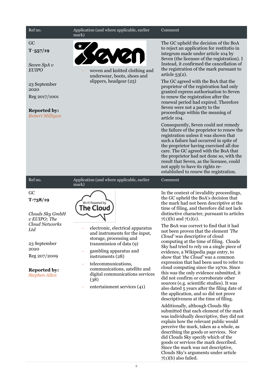| Ref no.                                                                                                                                                                    | Application (and where applicable, earlier<br>mark)                                                                                                                                                                                                                                                                                              | Comment                                                                                                                                                                                                                                                                                                                                                                                                                                                                                                                                                                                                                                                                                                                                                                                                                                                                                                                                                                                                                                                                                                                                                                     |
|----------------------------------------------------------------------------------------------------------------------------------------------------------------------------|--------------------------------------------------------------------------------------------------------------------------------------------------------------------------------------------------------------------------------------------------------------------------------------------------------------------------------------------------|-----------------------------------------------------------------------------------------------------------------------------------------------------------------------------------------------------------------------------------------------------------------------------------------------------------------------------------------------------------------------------------------------------------------------------------------------------------------------------------------------------------------------------------------------------------------------------------------------------------------------------------------------------------------------------------------------------------------------------------------------------------------------------------------------------------------------------------------------------------------------------------------------------------------------------------------------------------------------------------------------------------------------------------------------------------------------------------------------------------------------------------------------------------------------------|
| GC<br>$T - 557/19$<br>Seven SpA v<br><b>EUIPO</b><br>23 September<br>2020<br>Reg 2017/1001<br><b>Reported by:</b><br>Robert Milligan                                       | K<br>woven and knitted clothing and<br>underwear, boots, shoes and<br>slippers, headgear (25)                                                                                                                                                                                                                                                    | The GC upheld the decision of the BoA<br>to reject an application for restitutio in<br>integrum made under article 104 by<br>Seven (the licensee of the registration). I<br>Instead, it confirmed the cancellation of<br>the registration of the mark pursuant to<br>article $53(2)$ .<br>The GC agreed with the BoA that the<br>proprietor of the registration had only<br>granted express authorisation to Seven<br>to renew the registration after the<br>renewal period had expired. Therefore<br>Seven were not a party to the<br>proceedings within the meaning of<br>article 104.<br>Consequently, Seven could not remedy<br>the failure of the proprietor to renew the<br>registration unless it was shown that<br>such a failure had occurred in spite of<br>the proprietor having exercised all due<br>care. The GC agreed with the BoA that<br>the proprietor had not done so, with the<br>result that Seven, as the licensee, could<br>not apply to have its rights re-<br>established to renew the registration.                                                                                                                                               |
| Ref no.                                                                                                                                                                    | Application (and where applicable, earlier<br>mark)                                                                                                                                                                                                                                                                                              | Comment                                                                                                                                                                                                                                                                                                                                                                                                                                                                                                                                                                                                                                                                                                                                                                                                                                                                                                                                                                                                                                                                                                                                                                     |
| GC<br>$T-738/19$<br>Clouds Sky GmbH<br>v EUIPO; The<br><b>Cloud Networks</b><br>Ltd<br>23 September<br>2020<br>Reg 207/2009<br><b>Reported by:</b><br><b>Stephen Allen</b> | Powered by<br>he Cloud <sup>-</sup><br>electronic, electrical apparatus<br>and instruments for the input,<br>storage, processing and<br>transmission of data (9)<br>gambling apparatus and<br>instruments (28)<br>telecommunications,<br>communications, satellite and<br>digital communications services<br>(38)<br>entertainment services (41) | In the context of invalidity proceedings,<br>the GC upheld the BoA's decision that<br>the mark had not been descriptive at the<br>time of filing, and therefore did not lack<br>distinctive character, pursuant to articles<br>$7(1)(b)$ and $7(1)(c)$ .<br>The BoA was correct to find that it had<br>not been proven that the element 'The<br>Cloud' was descriptive of cloud<br>computing at the time of filing. Clouds<br>Sky had tried to rely on a single piece of<br>evidence, a Wikipedia page entry, to<br>show that 'the Cloud' was a common<br>expression that had been used to refer to<br>cloud computing since the 1970s. Since<br>this was the only evidence submitted, it<br>did not confirm or corroborate other<br>sources (e.g. scientific studies). It was<br>also dated 5 years after the filing date of<br>the application, and so did not prove<br>descriptiveness at the time of filing.<br>Additionally, although Clouds Sky<br>submitted that each element of the mark<br>was individually descriptive, they did not<br>explain how the relevant public would<br>perceive the mark, taken as a whole, as<br>describing the goods or services. Nor |

did Clouds Sky specify which of the goods or services the mark described. Since the mark was not descriptive, Clouds Sky's arguments under article  $7(1)(b)$  also failed.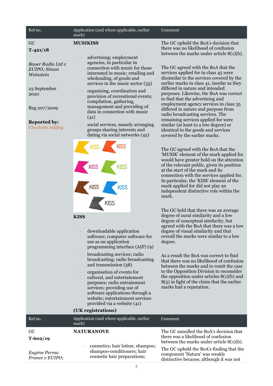| Ref no.                                                                                                                                  | Application (and where applicable, earlier<br>mark)                                                                                                                                                                                                                                                                                                                                                                                                                                      | Comment                                                                                                                                                                                                                                                                                                                                                                                                                                                                                                                                                                                                               |
|------------------------------------------------------------------------------------------------------------------------------------------|------------------------------------------------------------------------------------------------------------------------------------------------------------------------------------------------------------------------------------------------------------------------------------------------------------------------------------------------------------------------------------------------------------------------------------------------------------------------------------------|-----------------------------------------------------------------------------------------------------------------------------------------------------------------------------------------------------------------------------------------------------------------------------------------------------------------------------------------------------------------------------------------------------------------------------------------------------------------------------------------------------------------------------------------------------------------------------------------------------------------------|
| GC<br>$T-421/18$                                                                                                                         | <b>MUSIKISS</b>                                                                                                                                                                                                                                                                                                                                                                                                                                                                          | The GC upheld the BoA's decision that<br>there was no likelihood of confusion                                                                                                                                                                                                                                                                                                                                                                                                                                                                                                                                         |
| Bauer Radio Ltd v<br>EUIPO; Simon<br>Weinstein<br>23 September<br>2020<br>Reg 207/2009<br><b>Reported by:</b><br><b>Charlotte Addley</b> | advertising; employment<br>agencies, in particular in<br>connection with music for those<br>interested in music; retailing and<br>wholesaling, of goods and<br>services in the music sector $(35)$<br>organising, coordination and<br>provision of recreational events;<br>compilation, gathering,<br>management and providing of<br>data in connection with music<br>(41)<br>social services, namely arranging<br>groups sharing interests and<br>dating via social networks (45)       | between the marks under article $8(1)(b)$ .<br>The GC agreed with the BoA that the<br>services applied for in class 45 were<br>dissimilar to the services covered by the<br>earlier marks in class 41, insofar as they<br>differed in nature and intended<br>purposes. Likewise, the BoA was correct<br>to find that the advertising and<br>employment agency services in class 35<br>differed in nature and purpose from<br>radio broadcasting services. The<br>remaining services applied for were<br>similar (at least to a low degree) or<br>identical to the goods and services<br>covered by the earlier marks. |
|                                                                                                                                          | <b>KISS</b>                                                                                                                                                                                                                                                                                                                                                                                                                                                                              | The GC agreed with the BoA that the<br>'MUSIK' element of the mark applied for<br>would have greater hold on the attention<br>of the relevant public, given its position<br>at the start of the mark and its<br>connection with the services applied for.<br>In particular, the 'KISS' element of the<br>mark applied for did not play an<br>independent distinctive role within the<br>mark.                                                                                                                                                                                                                         |
|                                                                                                                                          | <b>KISS</b><br>downloadable application<br>software; computer software for<br>use as an application<br>programming interface (AIP) (9)<br>broadcasting services; radio<br>broadcasting; radio broadcasting<br>and transmission (38)<br>organisation of events for<br>cultural, and entertainment<br>purposes; radio entrainment<br>services; providing use of<br>software applications through a<br>website; entertainment services<br>provided via a website (41)<br>(UK registrations) | The GC held that there was an average<br>degree of aural similarity and a low<br>degree of conceptual similarity, but<br>agreed with the BoA that there was a low<br>degree of visual similarity and that<br>overall the marks were similar to a low<br>degree.<br>As a result the BoA was correct to find<br>that there was no likelihood of confusion<br>between the marks and to remit the case<br>to the Opposition Division to reconsider<br>the opposition under articles $8(1)(b)$ and<br>$8(5)$ in light of the claim that the earlier<br>marks had a reputation.                                             |
| Ref no.                                                                                                                                  | Application (and where applicable, earlier                                                                                                                                                                                                                                                                                                                                                                                                                                               | Comment                                                                                                                                                                                                                                                                                                                                                                                                                                                                                                                                                                                                               |
| GC<br>$T-602/19$                                                                                                                         | mark)<br><b>NATURANOVE</b>                                                                                                                                                                                                                                                                                                                                                                                                                                                               | The GC annulled the BoA's decision that<br>there was a likelihood of confusion<br>between the marks under article $8(1)(b)$ .                                                                                                                                                                                                                                                                                                                                                                                                                                                                                         |
| Eugène Perma<br>France v EUIPO;                                                                                                          | cosmetics; hair lotion; shampoo;<br>shampoo-conditioners; hair<br>cosmetic hair preparations;                                                                                                                                                                                                                                                                                                                                                                                            | The GC upheld the BoA's finding that the<br>component 'Natura' was weakly<br>distinctive because, although it was not                                                                                                                                                                                                                                                                                                                                                                                                                                                                                                 |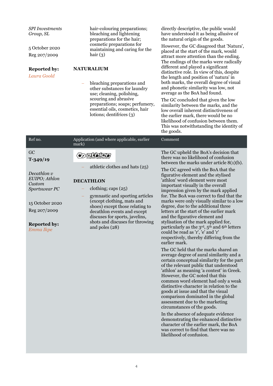| <b>SPI</b> Investments<br>Group, SL<br>5 October 2020<br>Reg 207/2009<br><b>Reported by:</b><br>Laura Goold                                        | hair-colouring preparations;<br>bleaching and lightening<br>preparations for the hair;<br>cosmetic preparations for<br>maintaining and caring for the<br>hair $(3)$<br><b>NATURALIUM</b><br>bleaching preparations and<br>other substances for laundry<br>use; cleaning, polishing,<br>scouring and abrasive<br>preparations; soaps; perfumery,<br>essential oils, cosmetics, hair<br>lotions; dentifrices (3) | directly descriptive, the public would<br>have understood it as being allusive of<br>the natural origin of the goods.<br>However, the GC disagreed that 'Natura',<br>placed at the start of the mark, would<br>attract more attention than the ending.<br>The endings of the marks were radically<br>different and played a significant<br>distinctive role. In view of this, despite<br>the length and position of 'natura' in<br>both marks, the overall degree of visual<br>and phonetic similarity was low, not<br>average as the BoA had found.<br>The GC concluded that given the low<br>similarity between the marks, and the<br>low overall inherent distinctiveness of<br>the earlier mark, there would be no<br>likelihood of confusion between them.<br>This was notwithstanding the identity of<br>the goods.                                                                                                                                                                                                                                                                                                                                                                                                                                             |
|----------------------------------------------------------------------------------------------------------------------------------------------------|----------------------------------------------------------------------------------------------------------------------------------------------------------------------------------------------------------------------------------------------------------------------------------------------------------------------------------------------------------------------------------------------------------------|-----------------------------------------------------------------------------------------------------------------------------------------------------------------------------------------------------------------------------------------------------------------------------------------------------------------------------------------------------------------------------------------------------------------------------------------------------------------------------------------------------------------------------------------------------------------------------------------------------------------------------------------------------------------------------------------------------------------------------------------------------------------------------------------------------------------------------------------------------------------------------------------------------------------------------------------------------------------------------------------------------------------------------------------------------------------------------------------------------------------------------------------------------------------------------------------------------------------------------------------------------------------------|
| Ref no.                                                                                                                                            | Application (and where applicable, earlier<br>mark)                                                                                                                                                                                                                                                                                                                                                            | Comment                                                                                                                                                                                                                                                                                                                                                                                                                                                                                                                                                                                                                                                                                                                                                                                                                                                                                                                                                                                                                                                                                                                                                                                                                                                               |
| GC<br>$T-349/19$<br>Decathlon v<br>EUIPO; Athlon<br>Custom<br>Sportswear PC<br>15 October 2020<br>Reg 207/2009<br><b>Reported by:</b><br>Emma Ikpe | $\bullet$ , effect<br>athletic clothes and hats (25)<br><b>DECATHLON</b><br>clothing; caps (25)<br>gymnastic and sporting articles<br>(except clothing, mats and<br>shoes) except those relating to<br>decathlon events and except<br>discuses for sports, javelins,<br>shots and discuses for throwing<br>and poles (28)                                                                                      | The GC upheld the BoA's decision that<br>there was no likelihood of confusion<br>between the marks under article $8(1)(b)$ .<br>The GC agreed with the BoA that the<br>figurative element and the stylised<br>'athlon' word element were most<br>important visually in the overall<br>impression given by the mark applied<br>for. The BoA was correct to find that the<br>marks were only visually similar to a low<br>degree, due to the additional three<br>letters at the start of the earlier mark<br>and the figurative element and<br>stylisation of the mark applied for,<br>particularly as the 3 <sup>rd</sup> , 5 <sup>th</sup> and 6 <sup>th</sup> letters<br>could be read as 'r', 'e' and 'r'<br>respectively, thereby differing from the<br>earlier mark.<br>The GC held that the marks shared an<br>average degree of aural similarity and a<br>certain conceptual similarity for the part<br>of the relevant public that understood<br>'athlon' as meaning 'a contest' in Greek.<br>However, the GC noted that this<br>common word element had only a weak<br>distinctive character in relation to the<br>goods at issue and that the visual<br>comparison dominated in the global<br>assessment due to the marketing<br>circumstances of the goods. |

In the absence of adequate evidence demonstrating the enhanced distinctive character of the earlier mark, the BoA was correct to find that there was no likelihood of confusion.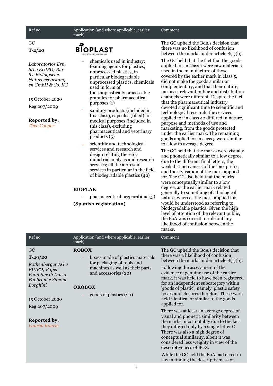| Ref no.                                                                                                                                                                   | Application (and where applicable, earlier<br>mark)                                                                                                                                                                                                                                                                                                                                                                                                                                                                                                                                                                                   | Comment                                                                                                                                                                                                                                                                                                                                                                                                                                                                                                                                                            |
|---------------------------------------------------------------------------------------------------------------------------------------------------------------------------|---------------------------------------------------------------------------------------------------------------------------------------------------------------------------------------------------------------------------------------------------------------------------------------------------------------------------------------------------------------------------------------------------------------------------------------------------------------------------------------------------------------------------------------------------------------------------------------------------------------------------------------|--------------------------------------------------------------------------------------------------------------------------------------------------------------------------------------------------------------------------------------------------------------------------------------------------------------------------------------------------------------------------------------------------------------------------------------------------------------------------------------------------------------------------------------------------------------------|
| GC<br>$T - 2/20$                                                                                                                                                          | <b>BIOPLAST</b>                                                                                                                                                                                                                                                                                                                                                                                                                                                                                                                                                                                                                       | The GC upheld the BoA's decision that<br>there was no likelihood of confusion<br>between the marks under article $8(1)(b)$ .                                                                                                                                                                                                                                                                                                                                                                                                                                       |
| Laboratorios Ern,<br>SA v EUIPO; Bio-<br>tec Biologische<br>Naturverpackung-<br>en GmbH & Co. KG<br>15 October 2020<br>Reg 207/2009<br><b>Reported by:</b><br>Theo Cooper | The GC held that the fact that the goods<br>chemicals used in industry;<br>foaming agents for plastics;<br>used in the manufacture of those<br>unprocessed plastics, in<br>particular biodegradable<br>unprocessed plastics, chemicals<br>used in form of<br>thermoplastically processable<br>granules for pharmaceutical<br>purposes (1)<br>sanitary products (included in<br>this class), capsules (filled) for<br>medical purposes (included in<br>purpose and methods of use and<br>this class), excluding<br>pharmaceutical and veterinary<br>products $(5)$<br>scientific and technological<br>to a low to average degree.<br>÷ | applied for in class 1 were raw materials<br>covered by the earlier mark in class 5,<br>did not make the goods similar or<br>complementary, and that their nature,<br>purpose, relevant public and distribution<br>channels were different. Despite the fact<br>that the pharmaceutical industry<br>devoted significant time to scientific and<br>technological research, the services<br>applied for in class 42 differed in nature,<br>marketing, from the goods protected<br>under the earlier mark. The remaining<br>goods applied for in class 5 were similar |
|                                                                                                                                                                           | services and research and<br>design relating thereto;<br>industrial analysis and research<br>services; all the aforesaid<br>services in particular in the field<br>of biodegradable plastics (42)                                                                                                                                                                                                                                                                                                                                                                                                                                     | The GC held that the marks were visually<br>and phonetically similar to a low degree,<br>due to the different final letters, the<br>weak distinctiveness of the 'bio' prefix,<br>and the stylisation of the mark applied<br>for. The GC also held that the marks<br>were conceptually similar to a low                                                                                                                                                                                                                                                             |
|                                                                                                                                                                           | <b>BIOPLAK</b>                                                                                                                                                                                                                                                                                                                                                                                                                                                                                                                                                                                                                        | degree, as the earlier mark related<br>generally to something of a biological                                                                                                                                                                                                                                                                                                                                                                                                                                                                                      |
|                                                                                                                                                                           | pharmaceutical preparations (5)                                                                                                                                                                                                                                                                                                                                                                                                                                                                                                                                                                                                       | nature, whereas the mark applied for                                                                                                                                                                                                                                                                                                                                                                                                                                                                                                                               |
|                                                                                                                                                                           | (Spanish registration)                                                                                                                                                                                                                                                                                                                                                                                                                                                                                                                                                                                                                | would be understood as referring to<br>biodegradable plastics. Given the high<br>level of attention of the relevant public,<br>the BoA was correct to rule out any<br>likelihood of confusion between the                                                                                                                                                                                                                                                                                                                                                          |

|                                                                                                                                                 |                                                                                                                                                                                      | marks.                                                                                                                                                                                                                                                                                                                                                                                                                                             |
|-------------------------------------------------------------------------------------------------------------------------------------------------|--------------------------------------------------------------------------------------------------------------------------------------------------------------------------------------|----------------------------------------------------------------------------------------------------------------------------------------------------------------------------------------------------------------------------------------------------------------------------------------------------------------------------------------------------------------------------------------------------------------------------------------------------|
| Ref no.                                                                                                                                         | Application (and where applicable, earlier<br>mark)                                                                                                                                  | Comment                                                                                                                                                                                                                                                                                                                                                                                                                                            |
| GC<br>$T-49/20$<br>Rothenberger $AGv$<br>EUIPO; Paper<br>Point Snc di Daria<br>Fabbroni e Simone<br>Borghini<br>15 October 2020<br>Reg 207/2009 | <b>ROBOX</b><br>boxes made of plastics materials<br>for packaging of tools and<br>machines as well as their parts<br>and accessories (20)<br><b>OROBOX</b><br>goods of plastics (20) | The GC upheld the BoA's decision that<br>there was a likelihood of confusion<br>between the marks under article $8(1)(b)$ .<br>Following the assessment of the<br>evidence of genuine use of the earlier<br>mark, it was held to have been registered<br>for an independent subcategory within<br>'goods of plastic', namely 'plastic safety<br>boxes and closures therefor'. These were<br>held identical or similar to the goods<br>applied for. |
| <b>Reported by:</b><br>Lauren Kourie                                                                                                            |                                                                                                                                                                                      | There was at least an average degree of<br>visual and phonetic similarity between<br>the marks, most notably due to the fact<br>they differed only by a single letter O.<br>There was also a high degree of<br>conceptual similarity, albeit it was<br>considered less weighty in view of the<br>descriptiveness of BOX.<br>While the GC held the BoA had erred in<br>law in finding the descriptiveness of                                        |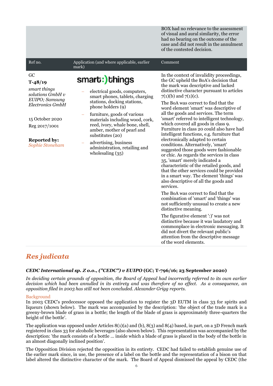BOX had no relevance to the assessment of visual and aural similarity, the error had no bearing on the outcome of the case and did not result in the annulment of the contested decision.

| Ref no.                                                                                                                                                                        | Application (and where applicable, earlier<br>mark)                                                                                                                                                                                                                                                                                                                         | Comment                                                                                                                                                                                                                                                                                                                                                                                                                                                                                                                                                                                                                                                                            |
|--------------------------------------------------------------------------------------------------------------------------------------------------------------------------------|-----------------------------------------------------------------------------------------------------------------------------------------------------------------------------------------------------------------------------------------------------------------------------------------------------------------------------------------------------------------------------|------------------------------------------------------------------------------------------------------------------------------------------------------------------------------------------------------------------------------------------------------------------------------------------------------------------------------------------------------------------------------------------------------------------------------------------------------------------------------------------------------------------------------------------------------------------------------------------------------------------------------------------------------------------------------------|
| GC<br>$T-48/19$<br>smart things<br>solutions GmbH v<br>EUIPO; Samsung<br><b>Electronics GmbH</b><br>15 October 2020<br>Reg 2017/1001<br><b>Reported by:</b><br>Sophie Stoneham | smart:)things<br>electrical goods, computers,<br>smart phones, tablets, charging<br>stations, docking stations,<br>phone holders (9)<br>furniture, goods of various<br>materials including wood, cork,<br>reed, ivory, whale bone, shell,<br>amber, mother of pearl and<br>substitutes (20)<br>advertising, business<br>administration, retailing and<br>wholesaling $(35)$ | In the context of invalidity proceedings,<br>the GC upheld the BoA's decision that<br>the mark was descriptive and lacked<br>distinctive character pursuant to articles<br>$7(1)(b)$ and $7(1)(c)$ .<br>The BoA was correct to find that the<br>word element 'smart' was descriptive of<br>all the goods and services. The term<br>'smart' referred to intelligent technology,<br>which covered all goods in class 9.<br>Furniture in class 20 could also have had<br>intelligent functions, e.g. furniture that<br>electronically adapted to certain<br>conditions. Alternatively, 'smart'<br>suggested those goods were fashionable<br>or chic. As regards the services in class |
|                                                                                                                                                                                |                                                                                                                                                                                                                                                                                                                                                                             | 35, 'smart' merely indicated a<br>characteristic of the retailed goods, and<br>that the other services could be provided<br>in a smart way. The element 'things' was<br>also descriptive of all the goods and<br>services.                                                                                                                                                                                                                                                                                                                                                                                                                                                         |
|                                                                                                                                                                                |                                                                                                                                                                                                                                                                                                                                                                             | The BoA was correct to find that the<br>combination of 'smart' and 'things' was<br>not sufficiently unusual to create a new<br>distinctive meaning.                                                                                                                                                                                                                                                                                                                                                                                                                                                                                                                                |
|                                                                                                                                                                                |                                                                                                                                                                                                                                                                                                                                                                             | The figurative element ':)' was not<br>distinctive because it was laudatory and<br>commonplace in electronic messaging. It<br>did not divert the relevant public's<br>attention from the descriptive message<br>of the word elements.                                                                                                                                                                                                                                                                                                                                                                                                                                              |

### *Res judicata*

#### *CEDC International sp. Z o.o., ("CEDC") v EUIPO* **(GC; T-796/16; 23 September 2020)**

*In deciding certain grounds of opposition, the Board of Appeal had incorrectly referred to its own earlier decision which had been annulled in its entirety and was therefore of no effect. As a consequence, an opposition filed in 2003 has still not been concluded. Alexander Grigg reports.*

#### Background

In 2003 CEDC's predecessor opposed the application to register the 3D EUTM in class 33 for spirits and liqueurs (shown below). The mark was accompanied by the description: 'the object of the trade mark is a greeny-brown blade of grass in a bottle; the length of the blade of grass is approximately three-quarters the height of the bottle'.

The application was opposed under Articles  $8(1)(a)$  and  $(b)$ ,  $8(3)$  and  $8(4)$  based, in part, on a 3D French mark registered in class 33 for alcoholic beverages (also shown below). This representation was accompanied by the description: 'the mark consists of a bottle … inside which a blade of grass is placed in the body of the bottle in an almost diagonally inclined position'.

The Opposition Division rejected the opposition in its entirety. CEDC had failed to establish genuine use of the earlier mark since, in use, the presence of a label on the bottle and the representation of a bison on that label altered the distinctive character of the mark. The Board of Appeal dismissed the appeal by CEDC (the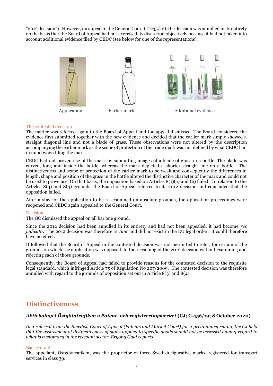"2012 decision"). However, on appeal to the General Court (T-235/12), the decision was annulled in its entirety on the basis that the Board of Appeal had not exercised its discretion objectively because it had not taken into account additional evidence filed by CEDC (see below for one of the representations).



Application Earlier mark Additional evidence

#### The contested decision

The matter was referred again to the Board of Appeal and the appeal dismissed. The Board considered the evidence first submitted together with the new evidence and decided that the earlier mark simply showed a straight diagonal line and not a blade of grass. These observations were not altered by the description accompanying the earlier mark as the scope of protection of the trade mark was not defined by what CEDC had in mind when filing the mark.

CEDC had not proven use of the mark by submitting images of a blade of grass in a bottle. The blade was curved, long and inside the bottle, whereas the mark depicted a shorter straight line on a bottle. The distinctiveness and scope of protection of the earlier mark to be weak and consequently the differences in length, shape and position of the grass in the bottle altered the distinctive character of the mark and could not be used to prove use. On that basis, the opposition based on Articles 8(1)(a) and (b) failed. In relation to the Articles 8(3) and 8(4) grounds, the Board of Appeal referred to its 2012 decision and concluded that the opposition failed.

After a stay for the application to be re-examined on absolute grounds, the opposition proceedings were reopened and CEDC again appealed to the General Court.

#### Decision

The GC dismissed the appeal on all bar one ground.

Since the 2012 decision had been annulled in its entirety and had not been appealed, it had become *res judicata*. The 2012 decision was therefore *ex tunc* and did not exist in the EU legal order. It could therefore have no effect.

It followed that the Board of Appeal in the contested decision was not permitted to refer, for certain of the grounds on which the application was opposed, to the reasoning of the 2012 decision without examining and rejecting each of those grounds.

Consequently, the Board of Appeal had failed to provide reasons for the contested decision to the requisite legal standard, which infringed Article 75 of Regulation No 207/2009. The contested decision was therefore annulled with regard to the grounds of opposition set out in Article  $8(3)$  and  $8(4)$ .

### **Distinctiveness**

#### *Aktiebolaget Östgötatrafiken v Patent- och registreringsverket* **(CJ; C-456/19; 8 October 2020)**

*In a referral from the Swedish Court of Appeal (Patents and Market Court) for a preliminary ruling, the CJ held that the assessment of distinctiveness of signs applied to specific goods should not be assessed having regard to what is customary in the relevant sector. Bryony Gold reports.*

#### Background

The appellant, Östgötatrafiken, was the proprietor of three Swedish figurative marks, registered for transport services in class 39: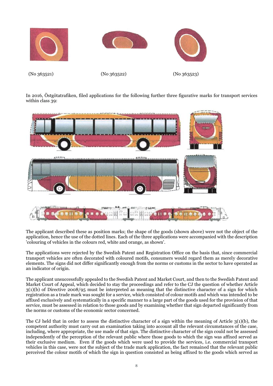

In 2016, Östgötatrafiken, filed applications for the following further three figurative marks for transport services within class 39:



The applicant described these as position marks; the shape of the goods (shown above) were not the object of the application, hence the use of the dotted lines. Each of the three applications were accompanied with the description 'colouring of vehicles in the colours red, white and orange, as shown'.

The applications were rejected by the Swedish Patent and Registration Office on the basis that, since commercial transport vehicles are often decorated with coloured motifs, consumers would regard them as merely decorative elements. The signs did not differ significantly enough from the norms or customs in the sector to have operated as an indicator of origin.

The applicant unsuccessfully appealed to the Swedish Patent and Market Court, and then to the Swedish Patent and Market Court of Appeal, which decided to stay the proceedings and refer to the CJ the question of whether Article 3(1)(b) of Directive 2008/95 must be interpreted as meaning that the distinctive character of a sign for which registration as a trade mark was sought for a service, which consisted of colour motifs and which was intended to be affixed exclusively and systematically in a specific manner to a large part of the goods used for the provision of that service, must be assessed in relation to those goods and by examining whether that sign departed significantly from the norms or customs of the economic sector concerned.

The CJ held that in order to assess the distinctive character of a sign within the meaning of Article  $3(1)(b)$ , the competent authority must carry out an examination taking into account all the relevant circumstances of the case, including, where appropriate, the use made of that sign. The distinctive character of the sign could not be assessed independently of the perception of the relevant public where those goods to which the sign was affixed served as their exclusive medium. Even if the goods which were used to provide the services, i.e. commercial transport vehicles in this case, were not the subject of the trade mark application, the fact remained that the relevant public perceived the colour motifs of which the sign in question consisted as being affixed to the goods which served as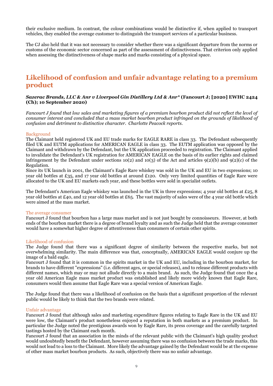their exclusive medium. In contrast, the colour combinations would be distinctive if, when applied to transport vehicles, they enabled the average customer to distinguish the transport services of a particular business.

The CJ also held that it was not necessary to consider whether there was a significant departure from the norms or customs of the economic sector concerned as part of the assessment of distinctiveness. That criterion only applied when assessing the distinctiveness of shape marks and marks consisting of a physical space.

## **Likelihood of confusion and unfair advantage relating to a premium product**

#### *Sazerac Brands, LLC & Anr v Liverpool Gin Distillery Ltd & Anr\** **(Fancourt J; [2020] EWHC 2424 (Ch); 10 September 2020)**

*Fancourt J found that low sales and marketing figures of a premium bourbon product did not reflect the level of consumer interest and concluded that a mass market bourbon product infringed on the grounds of likelihood of confusion and detriment to distinctive character. Charlotte Peacock reports.* 

#### Background

The Claimant held registered UK and EU trade marks for EAGLE RARE in class 33. The Defendant subsequently filed UK and EUTM applications for AMERICAN EAGLE in class 33. The EUTM application was opposed by the Claimant and withdrawn by the Defendant, but the UK application proceeded to registration. The Claimant applied to invalidate the Defendant's UK registration for AMERICAN EAGLE on the basis of its earlier rights and claimed infringement by the Defendant under sections 10(2) and 10(3) of the Act and articles  $9(2)(b)$  and  $9(2)(c)$  of the Regulation.

Since its UK launch in 2001, the Claimant's Eagle Rare whiskey was sold in the UK and EU in two expressions; 10 year old bottles at £35, and 17 year old bottles at around £120. Only very limited quantities of Eagle Rare were allocated to the UK and EU markets each year, and these bottles were sold in specialist outlets.

The Defendant's American Eagle whiskey was launched in the UK in three expressions; 4 year old bottles at £25, 8 year old bottles at £40, and 12 year old bottles at £65. The vast majority of sales were of the 4 year old bottle which were aimed at the mass market.

#### The average consumer

Fancourt J found that bourbon has a large mass market and is not just bought by connoisseurs. However, at both ends of the bourbon market there is a degree of brand loyalty and as such the Judge held that the average consumer would have a somewhat higher degree of attentiveness than consumers of certain other spirits.

#### Likelihood of confusion

The Judge found that there was a significant degree of similarity between the respective marks, but not overwhelming similarity. The main difference was that, conceptually, AMERICAN EAGLE would conjure up the image of a bald eagle.

Fancourt J found that it is common in the spirits market in the UK and EU, including in the bourbon market, for brands to have different "expressions" (i.e. different ages, or special releases), and to release different products with different names, which may or may not allude directly to a main brand. As such, the Judge found that once the 4 year old American Eagle mass market product was established and likely more widely known that Eagle Rare, consumers would then assume that Eagle Rare was a special version of American Eagle.

The Judge found that there was a likelihood of confusion on the basis that a significant proportion of the relevant public would be likely to think that the two brands were related.

#### Unfair advantage

Fancourt J found that although sales and marketing expenditure figures relating to Eagle Rare in the UK and EU were low, the Claimant's product nonetheless enjoyed a reputation in both markets as a premium product. In particular the Judge noted the prestigious awards won by Eagle Rare, its press coverage and the carefully targeted tastings hosted by the Claimant each month.

Fancourt J found that an association in the minds of the relevant public with the Claimant's high quality product would undoubtedly benefit the Defendant, however assuming there was no confusion between the trade marks, this would not lead to a loss to the Claimant. More likely the advantage gained by the Defendant would be at the expense of other mass market bourbon products. As such, objectively there was no unfair advantage.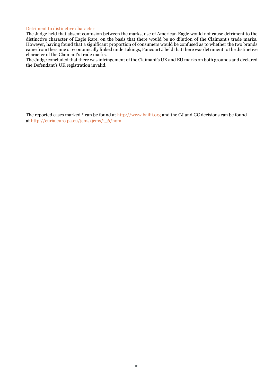#### Detriment to distinctive character

The Judge held that absent confusion between the marks, use of American Eagle would not cause detriment to the distinctive character of Eagle Rare, on the basis that there would be no dilution of the Claimant's trade marks. However, having found that a significant proportion of consumers would be confused as to whether the two brands came from the same or economically linked undertakings, Fancourt J held that there was detriment to the distinctive character of the Claimant's trade marks.

The Judge concluded that there was infringement of the Claimant's UK and EU marks on both grounds and declared the Defendant's UK registration invalid.

The reported cases marked \* can be found at http://www.bailii.org and the CJ and GC decisions can be found at http://curia.euro pa.eu/jcms/jcms/j\_6/hom